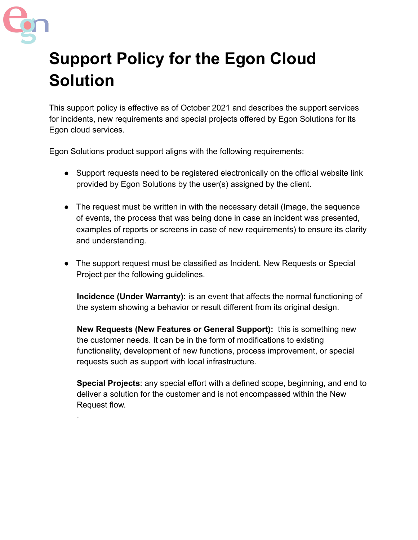

.

## **Support Policy for the Egon Cloud Solution**

This support policy is effective as of October 2021 and describes the support services for incidents, new requirements and special projects offered by Egon Solutions for its Egon cloud services.

Egon Solutions product support aligns with the following requirements:

- Support requests need to be registered electronically on the official website link provided by Egon Solutions by the user(s) assigned by the client.
- The request must be written in with the necessary detail (Image, the sequence of events, the process that was being done in case an incident was presented, examples of reports or screens in case of new requirements) to ensure its clarity and understanding.
- The support request must be classified as Incident, New Requests or Special Project per the following guidelines.

**Incidence (Under Warranty):** is an event that affects the normal functioning of the system showing a behavior or result different from its original design.

**New Requests (New Features or General Support):** this is something new the customer needs. It can be in the form of modifications to existing functionality, development of new functions, process improvement, or special requests such as support with local infrastructure.

**Special Projects**: any special effort with a defined scope, beginning, and end to deliver a solution for the customer and is not encompassed within the New Request flow.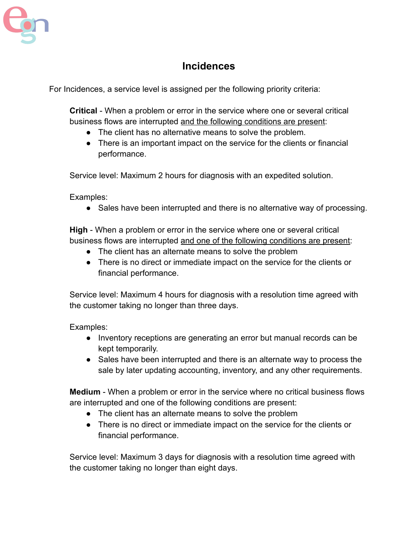

## **Incidences**

For Incidences, a service level is assigned per the following priority criteria:

**Critical** - When a problem or error in the service where one or several critical business flows are interrupted and the following conditions are present:

- The client has no alternative means to solve the problem.
- There is an important impact on the service for the clients or financial performance.

Service level: Maximum 2 hours for diagnosis with an expedited solution.

Examples:

• Sales have been interrupted and there is no alternative way of processing.

**High** - When a problem or error in the service where one or several critical business flows are interrupted and one of the following conditions are present:

- The client has an alternate means to solve the problem
- There is no direct or immediate impact on the service for the clients or financial performance.

Service level: Maximum 4 hours for diagnosis with a resolution time agreed with the customer taking no longer than three days.

Examples:

- Inventory receptions are generating an error but manual records can be kept temporarily.
- Sales have been interrupted and there is an alternate way to process the sale by later updating accounting, inventory, and any other requirements.

**Medium** - When a problem or error in the service where no critical business flows are interrupted and one of the following conditions are present:

- The client has an alternate means to solve the problem
- There is no direct or immediate impact on the service for the clients or financial performance.

Service level: Maximum 3 days for diagnosis with a resolution time agreed with the customer taking no longer than eight days.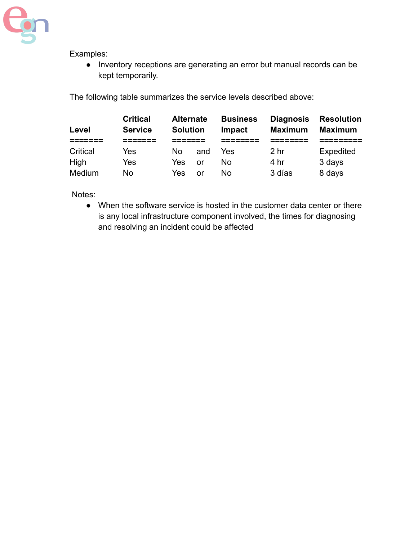

Examples:

● Inventory receptions are generating an error but manual records can be kept temporarily.

The following table summarizes the service levels described above:

| Level    | <b>Critical</b><br><b>Service</b> | <b>Alternate</b><br><b>Solution</b> |     | <b>Business</b><br>Impact | <b>Diagnosis</b><br><b>Maximum</b> | <b>Resolution</b><br><b>Maximum</b> |
|----------|-----------------------------------|-------------------------------------|-----|---------------------------|------------------------------------|-------------------------------------|
|          |                                   |                                     |     |                           | --                                 |                                     |
| Critical | Yes                               | N٥                                  | and | Yes                       | 2 <sub>hr</sub>                    | <b>Expedited</b>                    |
| High     | Yes                               | Yes                                 | or  | N٥                        | 4 hr                               | 3 days                              |
| Medium   | No                                | Yes                                 | or  | Nο                        | 3 días                             | 8 days                              |

Notes:

• When the software service is hosted in the customer data center or there is any local infrastructure component involved, the times for diagnosing and resolving an incident could be affected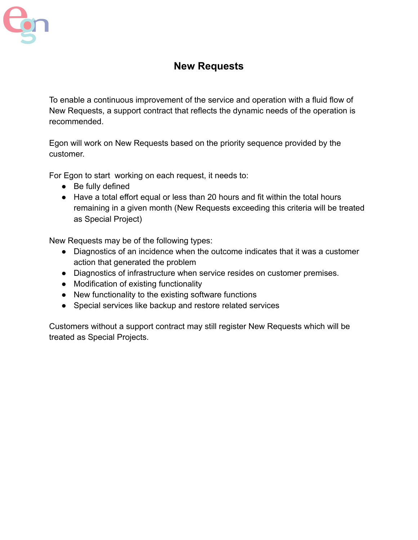

## **New Requests**

To enable a continuous improvement of the service and operation with a fluid flow of New Requests, a support contract that reflects the dynamic needs of the operation is recommended.

Egon will work on New Requests based on the priority sequence provided by the customer.

For Egon to start working on each request, it needs to:

- Be fully defined
- Have a total effort equal or less than 20 hours and fit within the total hours remaining in a given month (New Requests exceeding this criteria will be treated as Special Project)

New Requests may be of the following types:

- Diagnostics of an incidence when the outcome indicates that it was a customer action that generated the problem
- Diagnostics of infrastructure when service resides on customer premises.
- Modification of existing functionality
- New functionality to the existing software functions
- Special services like backup and restore related services

Customers without a support contract may still register New Requests which will be treated as Special Projects.